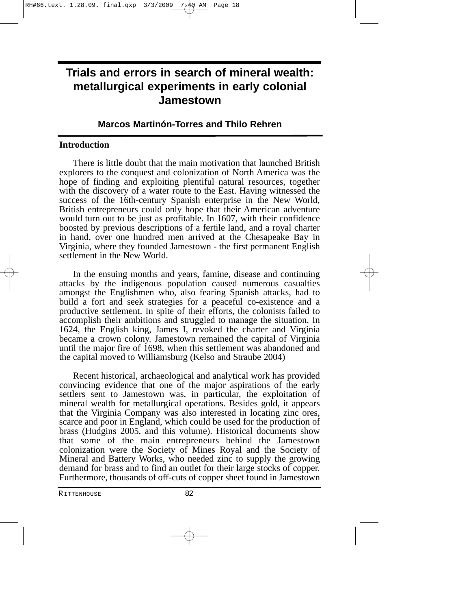# **Trials and errors in search of mineral wealth: metallurgical experiments in early colonial Jamestown**

## **Marcos Martinón-Torres and Thilo Rehren**

#### **Introduction**

There is little doubt that the main motivation that launched British explorers to the conquest and colonization of North America was the hope of finding and exploiting plentiful natural resources, together with the discovery of a water route to the East. Having witnessed the success of the 16th-century Spanish enterprise in the New World, British entrepreneurs could only hope that their American adventure would turn out to be just as profitable. In 1607, with their confidence boosted by previous descriptions of a fertile land, and a royal charter in hand, over one hundred men arrived at the Chesapeake Bay in Virginia, where they founded Jamestown - the first permanent English settlement in the New World.

In the ensuing months and years, famine, disease and continuing attacks by the indigenous population caused numerous casualties amongst the Englishmen who, also fearing Spanish attacks, had to build a fort and seek strategies for a peaceful co-existence and a productive settlement. In spite of their efforts, the colonists failed to accomplish their ambitions and struggled to manage the situation. In 1624, the English king, James I, revoked the charter and Virginia became a crown colony. Jamestown remained the capital of Virginia until the major fire of 1698, when this settlement was abandoned and the capital moved to Williamsburg (Kelso and Straube 2004)

Recent historical, archaeological and analytical work has provided convincing evidence that one of the major aspirations of the early settlers sent to Jamestown was, in particular, the exploitation of mineral wealth for metallurgical operations. Besides gold, it appears that the Virginia Company was also interested in locating zinc ores, scarce and poor in England, which could be used for the production of brass (Hudgins 2005, and this volume). Historical documents show that some of the main entrepreneurs behind the Jamestown colonization were the Society of Mines Royal and the Society of Mineral and Battery Works, who needed zinc to supply the growing demand for brass and to find an outlet for their large stocks of copper. Furthermore, thousands of off-cuts of copper sheet found in Jamestown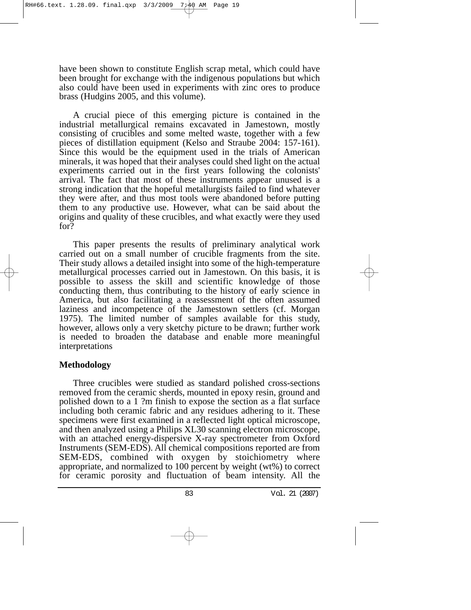have been shown to constitute English scrap metal, which could have been brought for exchange with the indigenous populations but which also could have been used in experiments with zinc ores to produce brass (Hudgins 2005, and this volume).

A crucial piece of this emerging picture is contained in the industrial metallurgical remains excavated in Jamestown, mostly consisting of crucibles and some melted waste, together with a few pieces of distillation equipment (Kelso and Straube 2004: 157-161). Since this would be the equipment used in the trials of American minerals, it was hoped that their analyses could shed light on the actual experiments carried out in the first years following the colonists' arrival. The fact that most of these instruments appear unused is a strong indication that the hopeful metallurgists failed to find whatever they were after, and thus most tools were abandoned before putting them to any productive use. However, what can be said about the origins and quality of these crucibles, and what exactly were they used for?

This paper presents the results of preliminary analytical work carried out on a small number of crucible fragments from the site. Their study allows a detailed insight into some of the high-temperature metallurgical processes carried out in Jamestown. On this basis, it is possible to assess the skill and scientific knowledge of those conducting them, thus contributing to the history of early science in America, but also facilitating a reassessment of the often assumed laziness and incompetence of the Jamestown settlers (cf. Morgan 1975). The limited number of samples available for this study, however, allows only a very sketchy picture to be drawn; further work is needed to broaden the database and enable more meaningful interpretations

## **Methodology**

Three crucibles were studied as standard polished cross-sections removed from the ceramic sherds, mounted in epoxy resin, ground and polished down to a 1 ?m finish to expose the section as a flat surface including both ceramic fabric and any residues adhering to it. These specimens were first examined in a reflected light optical microscope, and then analyzed using a Philips XL30 scanning electron microscope, with an attached energy-dispersive X-ray spectrometer from Oxford Instruments (SEM-EDS). All chemical compositions reported are from SEM-EDS, combined with oxygen by stoichiometry where appropriate, and normalized to 100 percent by weight (wt%) to correct for ceramic porosity and fluctuation of beam intensity. All the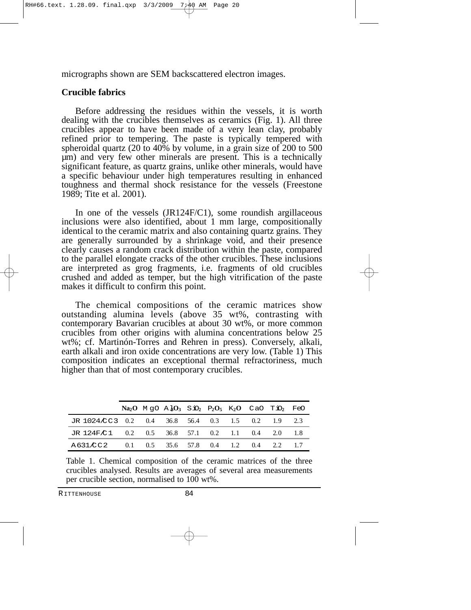micrographs shown are SEM backscattered electron images.

## **Crucible fabrics**

Before addressing the residues within the vessels, it is worth dealing with the crucibles themselves as ceramics (Fig. 1). All three crucibles appear to have been made of a very lean clay, probably refined prior to tempering. The paste is typically tempered with spheroidal quartz (20 to  $40\%$  by volume, in a grain size of 200 to 500 µm) and very few other minerals are present. This is a technically significant feature, as quartz grains, unlike other minerals, would have a specific behaviour under high temperatures resulting in enhanced toughness and thermal shock resistance for the vessels (Freestone 1989; Tite et al. 2001).

In one of the vessels (JR124F/C1), some roundish argillaceous inclusions were also identified, about 1 mm large, compositionally identical to the ceramic matrix and also containing quartz grains. They are generally surrounded by a shrinkage void, and their presence clearly causes a random crack distribution within the paste, compared to the parallel elongate cracks of the other crucibles. These inclusions are interpreted as grog fragments, i.e. fragments of old crucibles crushed and added as temper, but the high vitrification of the paste makes it difficult to confirm this point.

The chemical compositions of the ceramic matrices show outstanding alumina levels (above 35 wt%, contrasting with contemporary Bavarian crucibles at about 30 wt%, or more common crucibles from other origins with alumina concentrations below 25 wt%; cf. Martinón-Torres and Rehren in press). Conversely, alkali, earth alkali and iron oxide concentrations are very low. (Table 1) This composition indicates an exceptional thermal refractoriness, much higher than that of most contemporary crucibles.

|                                                   |  | $Na2O$ MgO A $103$ SiO <sub>2</sub> P <sub>2</sub> O <sub>5</sub> K <sub>2</sub> O CaO TiO <sub>2</sub> FeO |  |  |  |
|---------------------------------------------------|--|-------------------------------------------------------------------------------------------------------------|--|--|--|
| JR 1024 CC3 0.2 0.4 36.8 56.4 0.3 1.5 0.2 1.9 2.3 |  |                                                                                                             |  |  |  |
| JR 124F/C1 0.2 0.5 36.8 57.1 0.2 1.1 0.4 2.0 1.8  |  |                                                                                                             |  |  |  |
| A631/CC2                                          |  | $0.1$ $0.5$ $35.6$ $57.8$ $0.4$ $1.2$ $0.4$ $2.2$                                                           |  |  |  |

Table 1. Chemical composition of the ceramic matrices of the three crucibles analysed. Results are averages of several area measurements per crucible section, normalised to 100 wt%.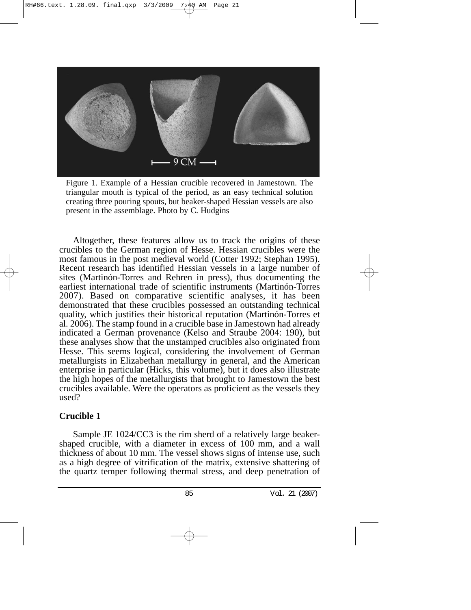

Figure 1. Example of a Hessian crucible recovered in Jamestown. The triangular mouth is typical of the period, as an easy technical solution creating three pouring spouts, but beaker-shaped Hessian vessels are also present in the assemblage. Photo by C. Hudgins

Altogether, these features allow us to track the origins of these crucibles to the German region of Hesse. Hessian crucibles were the most famous in the post medieval world (Cotter 1992; Stephan 1995). Recent research has identified Hessian vessels in a large number of sites (Martinón-Torres and Rehren in press), thus documenting the earliest international trade of scientific instruments (Martinón-Torres 2007). Based on comparative scientific analyses, it has been demonstrated that these crucibles possessed an outstanding technical quality, which justifies their historical reputation (Martinón-Torres et al. 2006). The stamp found in a crucible base in Jamestown had already indicated a German provenance (Kelso and Straube 2004: 190), but these analyses show that the unstamped crucibles also originated from Hesse. This seems logical, considering the involvement of German metallurgists in Elizabethan metallurgy in general, and the American enterprise in particular (Hicks, this volume), but it does also illustrate the high hopes of the metallurgists that brought to Jamestown the best crucibles available. Were the operators as proficient as the vessels they used?

## **Crucible 1**

Sample JE 1024/CC3 is the rim sherd of a relatively large beakershaped crucible, with a diameter in excess of 100 mm, and a wall thickness of about 10 mm. The vessel shows signs of intense use, such as a high degree of vitrification of the matrix, extensive shattering of the quartz temper following thermal stress, and deep penetration of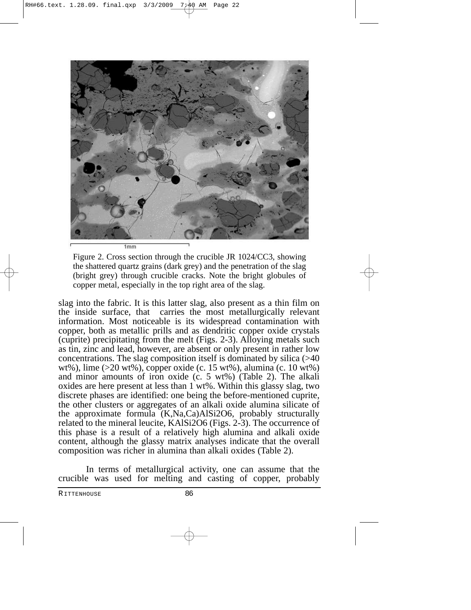

Figure 2. Cross section through the crucible JR 1024/CC3, showing the shattered quartz grains (dark grey) and the penetration of the slag (bright grey) through crucible cracks. Note the bright globules of copper metal, especially in the top right area of the slag.

slag into the fabric. It is this latter slag, also present as a thin film on the inside surface, that carries the most metallurgically relevant information. Most noticeable is its widespread contamination with copper, both as metallic prills and as dendritic copper oxide crystals (cuprite) precipitating from the melt (Figs. 2-3). Alloying metals such as tin, zinc and lead, however, are absent or only present in rather low concentrations. The slag composition itself is dominated by silica (>40 wt%), lime (>20 wt%), copper oxide (c. 15 wt%), alumina (c. 10 wt%) and minor amounts of iron oxide (c. 5 wt%) (Table 2). The alkali oxides are here present at less than  $1 \text{ wt\%}$ . Within this glassy slag, two discrete phases are identified: one being the before-mentioned cuprite, the other clusters or aggregates of an alkali oxide alumina silicate of the approximate formula (K,Na,Ca)AlSi2O6, probably structurally related to the mineral leucite, KAlSi2O6 (Figs. 2-3). The occurrence of this phase is a result of a relatively high alumina and alkali oxide content, although the glassy matrix analyses indicate that the overall composition was richer in alumina than alkali oxides (Table 2).

In terms of metallurgical activity, one can assume that the crucible was used for melting and casting of copper, probably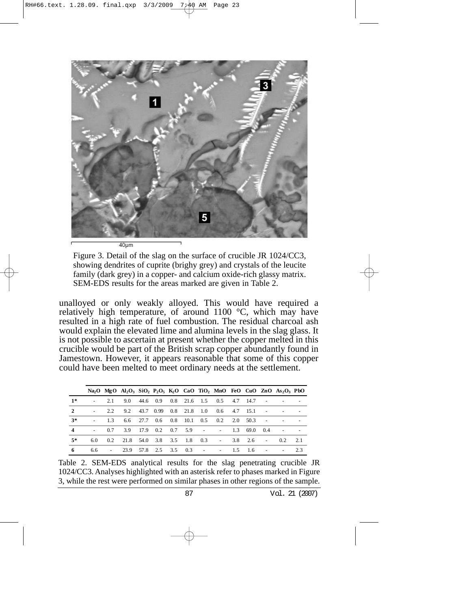

Figure 3. Detail of the slag on the surface of crucible JR 1024/CC3, showing dendrites of cuprite (brighy grey) and crystals of the leucite family (dark grey) in a copper- and calcium oxide-rich glassy matrix. SEM-EDS results for the areas marked are given in Table 2.

unalloyed or only weakly alloyed. This would have required a relatively high temperature, of around 1100 °C, which may have resulted in a high rate of fuel combustion. The residual charcoal ash would explain the elevated lime and alumina levels in the slag glass. It is not possible to ascertain at present whether the copper melted in this crucible would be part of the British scrap copper abundantly found in Jamestown. However, it appears reasonable that some of this copper could have been melted to meet ordinary needs at the settlement.

|                         |     |        |                       |                            |                          |                      |                                        |                            |                |                          | Na <sub>2</sub> O MgO Al <sub>2</sub> O <sub>3</sub> SiO <sub>2</sub> P <sub>2</sub> O <sub>5</sub> K <sub>2</sub> O CaO TiO <sub>2</sub> MnO FeO CuO ZnO As <sub>2</sub> O <sub>3</sub> PbO |                          |
|-------------------------|-----|--------|-----------------------|----------------------------|--------------------------|----------------------|----------------------------------------|----------------------------|----------------|--------------------------|----------------------------------------------------------------------------------------------------------------------------------------------------------------------------------------------|--------------------------|
| $1*$                    |     | 2.1    |                       |                            |                          |                      | 9.0 44.6 0.9 0.8 21.6 1.5 0.5 4.7 14.7 |                            |                | $\sim$ 100 $\pm$         |                                                                                                                                                                                              |                          |
| $\mathbf{2}$            |     | 2.2    | 9.2                   | 43.7 0.99                  | $0.8$ 21.8 1.0           |                      | $0.6$ 4.7 15.1                         |                            |                |                          |                                                                                                                                                                                              | $\overline{\phantom{a}}$ |
| $3*$                    |     | 13     | $6.6$ 27.7            |                            | $0.6$ $0.8$ $10.1$ $0.5$ |                      |                                        | $0.2 \quad 2.0 \quad 50.3$ |                | $\sim$                   |                                                                                                                                                                                              |                          |
| $\overline{\mathbf{4}}$ |     | 0.7    | 3.9                   | $17.9 \t0.2 \t0.7 \t5.9$ - |                          |                      | <b>Contractor</b>                      | 1.3                        | 69.0           | 0.4                      |                                                                                                                                                                                              |                          |
| $5*$                    | 6.0 | 0.2    | 21.8 54.0 3.8 3.5 1.8 |                            |                          | 0.3                  | <b>Contact Contact</b>                 |                            | $3.8\quad 2.6$ | $\overline{\phantom{a}}$ | 02                                                                                                                                                                                           | 2.1                      |
| 6                       | 6.6 | $\sim$ | 23.9                  | 57.8 2.5 3.5 0.3           |                          | $\sim 100$ m $^{-1}$ |                                        | $-1.5$ 1.6                 |                |                          |                                                                                                                                                                                              | 23                       |

Table 2. SEM-EDS analytical results for the slag penetrating crucible JR 1024/CC3. Analyses highlighted with an asterisk refer to phases marked in Figure 3, while the rest were performed on similar phases in other regions of the sample.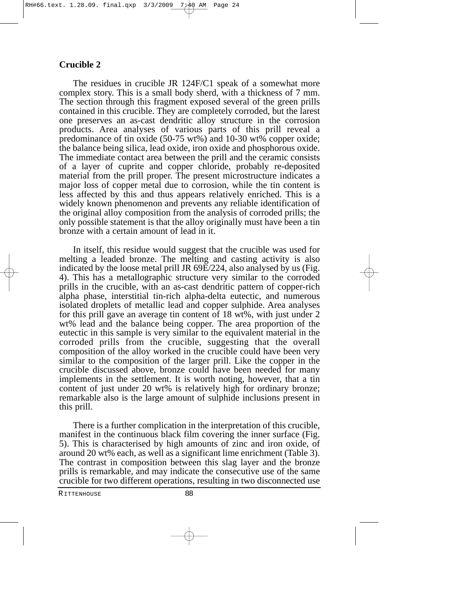#### **Crucible 2**

The residues in crucible JR 124F/C1 speak of a somewhat more complex story. This is a small body sherd, with a thickness of 7 mm. The section through this fragment exposed several of the green prills contained in this crucible. They are completely corroded, but the larest one preserves an as-cast dendritic alloy structure in the corrosion products. Area analyses of various parts of this prill reveal a predominance of tin oxide (50-75 wt%) and 10-30 wt% copper oxide; the balance being silica, lead oxide, iron oxide and phosphorous oxide. The immediate contact area between the prill and the ceramic consists of a layer of cuprite and copper chloride, probably re-deposited material from the prill proper. The present microstructure indicates a major loss of copper metal due to corrosion, while the tin content is less affected by this and thus appears relatively enriched. This is a widely known phenomenon and prevents any reliable identification of the original alloy composition from the analysis of corroded prills; the only possible statement is that the alloy originally must have been a tin bronze with a certain amount of lead in it.

In itself, this residue would suggest that the crucible was used for melting a leaded bronze. The melting and casting activity is also indicated by the loose metal prill JR 69E/224, also analysed by us (Fig. 4). This has a metallographic structure very similar to the corroded prills in the crucible, with an as-cast dendritic pattern of copper-rich alpha phase, interstitial tin-rich alpha-delta eutectic, and numerous isolated droplets of metallic lead and copper sulphide. Area analyses for this prill gave an average tin content of 18 wt%, with just under 2 wt% lead and the balance being copper. The area proportion of the eutectic in this sample is very similar to the equivalent material in the corroded prills from the crucible, suggesting that the overall composition of the alloy worked in the crucible could have been very similar to the composition of the larger prill. Like the copper in the crucible discussed above, bronze could have been needed for many implements in the settlement. It is worth noting, however, that a tin content of just under 20 wt% is relatively high for ordinary bronze; remarkable also is the large amount of sulphide inclusions present in this prill.

There is a further complication in the interpretation of this crucible, manifest in the continuous black film covering the inner surface (Fig. 5). This is characterised by high amounts of zinc and iron oxide, of around 20 wt% each, as well as a significant lime enrichment (Table 3). The contrast in composition between this slag layer and the bronze prills is remarkable, and may indicate the consecutive use of the same crucible for two different operations, resulting in two disconnected use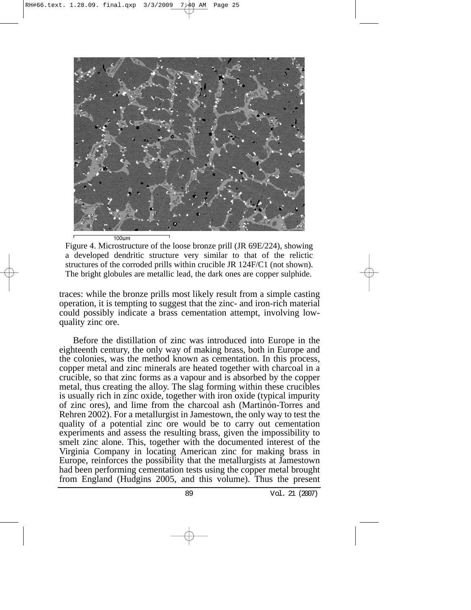

Figure 4. Microstructure of the loose bronze prill (JR 69E/224), showing a developed dendritic structure very similar to that of the relictic structures of the corroded prills within crucible JR 124F/C1 (not shown). The bright globules are metallic lead, the dark ones are copper sulphide.

traces: while the bronze prills most likely result from a simple casting operation, it is tempting to suggest that the zinc- and iron-rich material could possibly indicate a brass cementation attempt, involving lowquality zinc ore.

Before the distillation of zinc was introduced into Europe in the eighteenth century, the only way of making brass, both in Europe and the colonies, was the method known as cementation. In this process, copper metal and zinc minerals are heated together with charcoal in a crucible, so that zinc forms as a vapour and is absorbed by the copper metal, thus creating the alloy. The slag forming within these crucibles is usually rich in zinc oxide, together with iron oxide (typical impurity of zinc ores), and lime from the charcoal ash (Martinón-Torres and Rehren 2002). For a metallurgist in Jamestown, the only way to test the quality of a potential zinc ore would be to carry out cementation experiments and assess the resulting brass, given the impossibility to smelt zinc alone. This, together with the documented interest of the Virginia Company in locating American zinc for making brass in Europe, reinforces the possibility that the metallurgists at Jamestown had been performing cementation tests using the copper metal brought from England (Hudgins 2005, and this volume). Thus the present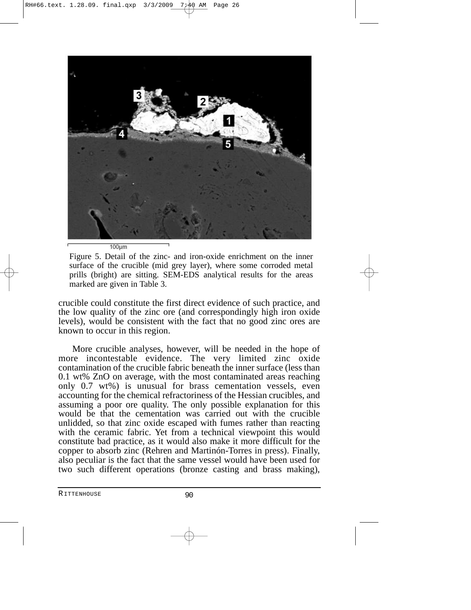

 $100 \mu m$ 

Figure 5. Detail of the zinc- and iron-oxide enrichment on the inner surface of the crucible (mid grey layer), where some corroded metal prills (bright) are sitting. SEM-EDS analytical results for the areas marked are given in Table 3.

crucible could constitute the first direct evidence of such practice, and the low quality of the zinc ore (and correspondingly high iron oxide levels), would be consistent with the fact that no good zinc ores are known to occur in this region.

More crucible analyses, however, will be needed in the hope of more incontestable evidence. The very limited zinc oxide contamination of the crucible fabric beneath the inner surface (less than 0.1 wt% ZnO on average, with the most contaminated areas reaching only 0.7 wt%) is unusual for brass cementation vessels, even accounting for the chemical refractoriness of the Hessian crucibles, and assuming a poor ore quality. The only possible explanation for this would be that the cementation was carried out with the crucible unlidded, so that zinc oxide escaped with fumes rather than reacting with the ceramic fabric. Yet from a technical viewpoint this would constitute bad practice, as it would also make it more difficult for the copper to absorb zinc (Rehren and Martinón-Torres in press). Finally, also peculiar is the fact that the same vessel would have been used for two such different operations (bronze casting and brass making),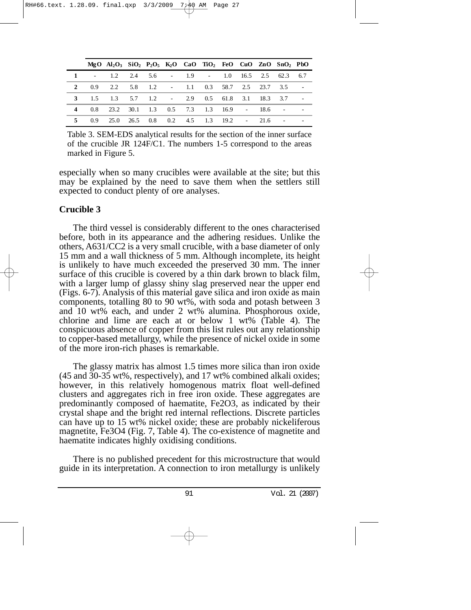|                |       | $MgO$ $Al_2O_3$ $SiO_2$ $P_2O_5$ $K_2O$ $CaO$ $TiO_2$ $FeO$ $CuO$ $ZnO$ $SnO_2$ $PbO$ |  |  |                                       |  |  |  |
|----------------|-------|---------------------------------------------------------------------------------------|--|--|---------------------------------------|--|--|--|
|                |       | $-1.2$ 2.4 5.6 $-1.9$ $-1.0$ 16.5 2.5 62.3 6.7                                        |  |  |                                       |  |  |  |
|                |       | 2  0.9  2.2  5.8  1.2  - 1.1  0.3  58.7  2.5  23.7  3.5                               |  |  |                                       |  |  |  |
|                |       | 3 1.5 1.3 5.7 1.2 - 2.9 0.5 61.8 3.1 18.3 3.7                                         |  |  |                                       |  |  |  |
| $\overline{4}$ |       | 0.8 23.2 30.1 1.3 0.5 7.3 1.3 16.9 - 18.6 -                                           |  |  |                                       |  |  |  |
|                | 5 0.9 |                                                                                       |  |  | 25.0 26.5 0.8 0.2 4.5 1.3 19.2 - 21.6 |  |  |  |

Table 3. SEM-EDS analytical results for the section of the inner surface of the crucible JR 124F/C1. The numbers 1-5 correspond to the areas marked in Figure 5.

especially when so many crucibles were available at the site; but this may be explained by the need to save them when the settlers still expected to conduct plenty of ore analyses.

## **Crucible 3**

The third vessel is considerably different to the ones characterised before, both in its appearance and the adhering residues. Unlike the others, A631/CC2 is a very small crucible, with a base diameter of only 15 mm and a wall thickness of 5 mm. Although incomplete, its height is unlikely to have much exceeded the preserved 30 mm. The inner surface of this crucible is covered by a thin dark brown to black film, with a larger lump of glassy shiny slag preserved near the upper end (Figs. 6-7). Analysis of this material gave silica and iron oxide as main components, totalling 80 to 90 wt%, with soda and potash between 3 and 10 wt% each, and under 2 wt% alumina. Phosphorous oxide, chlorine and lime are each at or below 1 wt% (Table 4). The conspicuous absence of copper from this list rules out any relationship to copper-based metallurgy, while the presence of nickel oxide in some of the more iron-rich phases is remarkable.

The glassy matrix has almost 1.5 times more silica than iron oxide (45 and 30-35 wt%, respectively), and 17 wt% combined alkali oxides; however, in this relatively homogenous matrix float well-defined clusters and aggregates rich in free iron oxide. These aggregates are predominantly composed of haematite, Fe2O3, as indicated by their crystal shape and the bright red internal reflections. Discrete particles can have up to 15 wt% nickel oxide; these are probably nickeliferous magnetite, Fe3O4 (Fig. 7, Table 4). The co-existence of magnetite and haematite indicates highly oxidising conditions.

There is no published precedent for this microstructure that would guide in its interpretation. A connection to iron metallurgy is unlikely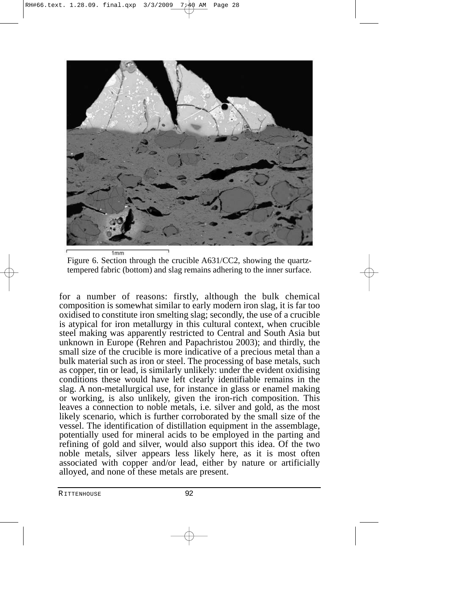

Figure 6. Section through the crucible A631/CC2, showing the quartztempered fabric (bottom) and slag remains adhering to the inner surface.

for a number of reasons: firstly, although the bulk chemical composition is somewhat similar to early modern iron slag, it is far too oxidised to constitute iron smelting slag; secondly, the use of a crucible is atypical for iron metallurgy in this cultural context, when crucible steel making was apparently restricted to Central and South Asia but unknown in Europe (Rehren and Papachristou 2003); and thirdly, the small size of the crucible is more indicative of a precious metal than a bulk material such as iron or steel. The processing of base metals, such as copper, tin or lead, is similarly unlikely: under the evident oxidising conditions these would have left clearly identifiable remains in the slag. A non-metallurgical use, for instance in glass or enamel making or working, is also unlikely, given the iron-rich composition. This leaves a connection to noble metals, i.e. silver and gold, as the most likely scenario, which is further corroborated by the small size of the vessel. The identification of distillation equipment in the assemblage, potentially used for mineral acids to be employed in the parting and refining of gold and silver, would also support this idea. Of the two noble metals, silver appears less likely here, as it is most often associated with copper and/or lead, either by nature or artificially alloyed, and none of these metals are present.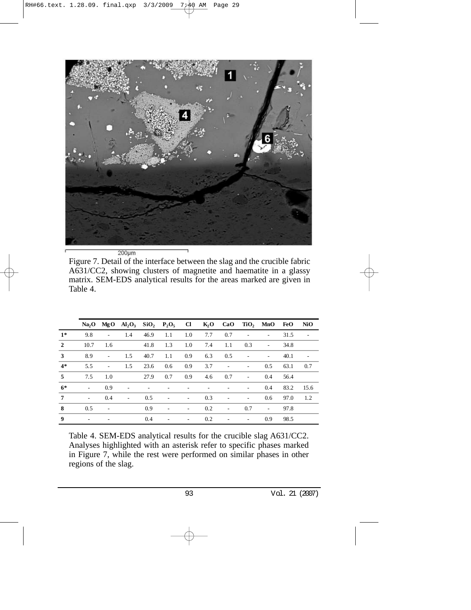

Figure 7. Detail of the interface between the slag and the crucible fabric A631/CC2, showing clusters of magnetite and haematite in a glassy matrix. SEM-EDS analytical results for the areas marked are given in Table 4.

|                |                          |                          | $Na2O$ MgO $Al2O3$ SiO <sub>2</sub> P <sub>2</sub> O <sub>5</sub> Cl K <sub>2</sub> O CaO TiO <sub>2</sub> MnO FeO |      |                          |                          |     |                          |                          |                          |      | NiO  |
|----------------|--------------------------|--------------------------|--------------------------------------------------------------------------------------------------------------------|------|--------------------------|--------------------------|-----|--------------------------|--------------------------|--------------------------|------|------|
| $1*$           | 9.8                      | $\sim$                   | 1.4                                                                                                                | 46.9 | 1.1                      | 1.0                      | 7.7 | 0.7                      | $\overline{\phantom{a}}$ | $\sim$                   | 31.5 |      |
| $\overline{2}$ | 10.7                     | 1.6                      |                                                                                                                    | 41.8 | 1.3                      | 1.0                      | 7.4 | 1.1                      | 0.3                      | $\overline{\phantom{a}}$ | 34.8 |      |
| 3              | 8.9                      | $\sim$                   | 1.5                                                                                                                | 40.7 | 1.1                      | 0.9                      | 6.3 | 0.5                      | $\overline{\phantom{a}}$ | $\overline{\phantom{a}}$ | 40.1 |      |
| $4*$           | 5.5                      | $\sim$                   | 1.5                                                                                                                | 23.6 | 0.6                      | 0.9                      | 3.7 | $\overline{\phantom{a}}$ | $\overline{\phantom{0}}$ | 0.5                      | 63.1 | 0.7  |
| 5              | 7.5                      | 1.0                      |                                                                                                                    | 27.9 | 0.7                      | 0.9                      | 4.6 | 0.7                      | $\overline{\phantom{a}}$ | $0.4^{\circ}$            | 56.4 |      |
| $6*$           | $\sim$                   | 0.9                      | $\overline{\phantom{a}}$                                                                                           |      |                          |                          |     |                          | $\overline{\phantom{a}}$ | 0.4                      | 83.2 | 15.6 |
| 7              | $\overline{\phantom{0}}$ | 0.4                      | $\overline{\phantom{a}}$                                                                                           | 0.5  | $\overline{\phantom{a}}$ | $\overline{\phantom{a}}$ | 0.3 | $\overline{\phantom{a}}$ | $\overline{\phantom{a}}$ | 0.6                      | 97.0 | 1.2  |
| 8              | 0.5                      | $\overline{\phantom{a}}$ |                                                                                                                    | 0.9  | $\overline{\phantom{a}}$ | $\overline{\phantom{a}}$ | 0.2 | $\overline{\phantom{a}}$ | 0.7                      | $\overline{\phantom{a}}$ | 97.8 |      |
| 9              |                          |                          |                                                                                                                    | 0.4  | $\overline{\phantom{a}}$ | $\overline{\phantom{a}}$ | 0.2 | $\overline{\phantom{a}}$ | $\overline{\phantom{0}}$ | 0.9                      | 98.5 |      |

Table 4. SEM-EDS analytical results for the crucible slag A631/CC2. Analyses highlighted with an asterisk refer to specific phases marked in Figure 7, while the rest were performed on similar phases in other regions of the slag.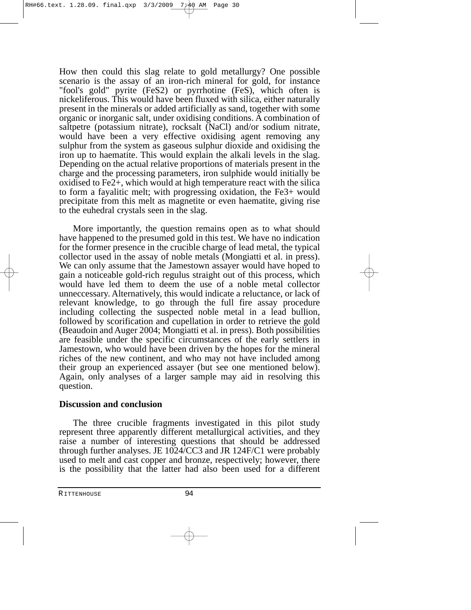How then could this slag relate to gold metallurgy? One possible scenario is the assay of an iron-rich mineral for gold, for instance "fool's gold" pyrite (FeS2) or pyrrhotine (FeS), which often is nickeliferous. This would have been fluxed with silica, either naturally present in the minerals or added artificially as sand, together with some organic or inorganic salt, under oxidising conditions. A combination of saltpetre (potassium nitrate), rocksalt (NaCl) and/or sodium nitrate, would have been a very effective oxidising agent removing any sulphur from the system as gaseous sulphur dioxide and oxidising the iron up to haematite. This would explain the alkali levels in the slag. Depending on the actual relative proportions of materials present in the charge and the processing parameters, iron sulphide would initially be oxidised to Fe2+, which would at high temperature react with the silica to form a fayalitic melt; with progressing oxidation, the Fe3+ would precipitate from this melt as magnetite or even haematite, giving rise to the euhedral crystals seen in the slag.

More importantly, the question remains open as to what should have happened to the presumed gold in this test. We have no indication for the former presence in the crucible charge of lead metal, the typical collector used in the assay of noble metals (Mongiatti et al. in press). We can only assume that the Jamestown assayer would have hoped to gain a noticeable gold-rich regulus straight out of this process, which would have led them to deem the use of a noble metal collector unneccessary. Alternatively, this would indicate a reluctance, or lack of relevant knowledge, to go through the full fire assay procedure including collecting the suspected noble metal in a lead bullion, followed by scorification and cupellation in order to retrieve the gold (Beaudoin and Auger 2004; Mongiatti et al. in press). Both possibilities are feasible under the specific circumstances of the early settlers in Jamestown, who would have been driven by the hopes for the mineral riches of the new continent, and who may not have included among their group an experienced assayer (but see one mentioned below). Again, only analyses of a larger sample may aid in resolving this question.

### **Discussion and conclusion**

The three crucible fragments investigated in this pilot study represent three apparently different metallurgical activities, and they raise a number of interesting questions that should be addressed through further analyses. JE 1024/CC3 and JR 124F/C1 were probably used to melt and cast copper and bronze, respectively; however, there is the possibility that the latter had also been used for a different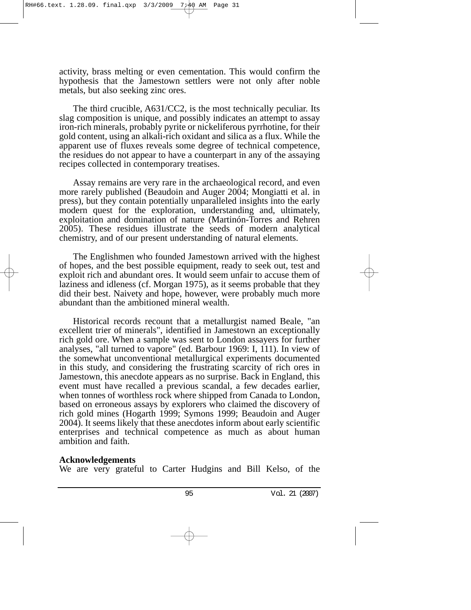activity, brass melting or even cementation. This would confirm the hypothesis that the Jamestown settlers were not only after noble metals, but also seeking zinc ores.

The third crucible, A631/CC2, is the most technically peculiar. Its slag composition is unique, and possibly indicates an attempt to assay iron-rich minerals, probably pyrite or nickeliferous pyrrhotine, for their gold content, using an alkali-rich oxidant and silica as a flux. While the apparent use of fluxes reveals some degree of technical competence, the residues do not appear to have a counterpart in any of the assaying recipes collected in contemporary treatises.

Assay remains are very rare in the archaeological record, and even more rarely published (Beaudoin and Auger 2004; Mongiatti et al. in press), but they contain potentially unparalleled insights into the early modern quest for the exploration, understanding and, ultimately, exploitation and domination of nature (Martinón-Torres and Rehren 2005). These residues illustrate the seeds of modern analytical chemistry, and of our present understanding of natural elements.

The Englishmen who founded Jamestown arrived with the highest of hopes, and the best possible equipment, ready to seek out, test and exploit rich and abundant ores. It would seem unfair to accuse them of laziness and idleness (cf. Morgan 1975), as it seems probable that they did their best. Naivety and hope, however, were probably much more abundant than the ambitioned mineral wealth.

Historical records recount that a metallurgist named Beale, "an excellent trier of minerals", identified in Jamestown an exceptionally rich gold ore. When a sample was sent to London assayers for further analyses, "all turned to vapore" (ed. Barbour 1969: I, 111). In view of the somewhat unconventional metallurgical experiments documented in this study, and considering the frustrating scarcity of rich ores in Jamestown, this anecdote appears as no surprise. Back in England, this event must have recalled a previous scandal, a few decades earlier, when tonnes of worthless rock where shipped from Canada to London, based on erroneous assays by explorers who claimed the discovery of rich gold mines (Hogarth 1999; Symons 1999; Beaudoin and Auger 2004). It seems likely that these anecdotes inform about early scientific enterprises and technical competence as much as about human ambition and faith.

#### **Acknowledgements**

We are very grateful to Carter Hudgins and Bill Kelso, of the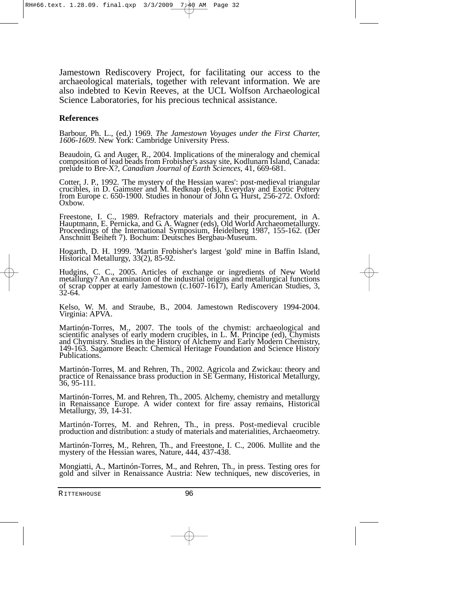Jamestown Rediscovery Project, for facilitating our access to the archaeological materials, together with relevant information. We are also indebted to Kevin Reeves, at the UCL Wolfson Archaeological Science Laboratories, for his precious technical assistance.

#### **References**

Barbour, Ph. L., (ed.) 1969. *The Jamestown Voyages under the First Charter, 1606-1609*. New York: Cambridge University Press.

Beaudoin, G. and Auger, R., 2004. Implications of the mineralogy and chemical composition of lead beads from Frobisher's assay site, Kodlunarn Island, Canada: prelude to Bre-X?, *Canadian Journal of Earth Sciences*, 41, 669-681.

Cotter, J. P., 1992. 'The mystery of the Hessian wares': post-medieval triangular crucibles, in D. Gaimster and M. Redknap (eds), Everyday and Exotic Pottery from Europe c. 650-1900. Studies in honour of John G. Hurst, 256-272. Oxford: Oxbow.

Freestone, I. C., 1989. Refractory materials and their procurement, in A. Hauptmann, E. Pernicka, and G. A. Wagner (eds), Old World Archaeometallurgy. Proceedings of the International Symposium, Heidelberg 1987, 155-162. (Der Anschnitt Beiheft 7). Bochum: Deutsches Bergbau-Museum.

Hogarth, D. H. 1999. 'Martin Frobisher's largest 'gold' mine in Baffin Island, Historical Metallurgy, 33(2), 85-92.

Hudgins, C. C., 2005. Articles of exchange or ingredients of New World metallurgy? An examination of the industrial origins and metallurgical functions of scrap copper at early Jamestown (c.1607-1617), Early American Studies, 3, 32-64.

Kelso, W. M. and Straube, B., 2004. Jamestown Rediscovery 1994-2004. Virginia: APVA.

Martinón-Torres, M., 2007. The tools of the chymist: archaeological and scientific analyses of early modern crucibles, in L. M. Principe (ed), Chymists and Chymistry. Studies in the History of Alchemy and Early Modern Chemistry, 149-163. Sagamore Beach: Chemical Heritage Foundation and Science History Publications.

Martinón-Torres, M. and Rehren, Th., 2002. Agricola and Zwickau: theory and practice of Renaissance brass production in SE Germany, Historical Metallurgy, 36, 95-111.

Martinón-Torres, M. and Rehren, Th., 2005. Alchemy, chemistry and metallurgy in Renaissance Europe. A wider context for fire assay remains, Historical Metallurgy, 39, 14-31.

Martinón-Torres, M. and Rehren, Th., in press. Post-medieval crucible production and distribution: a study of materials and materialities, Archaeometry.

Martinón-Torres, M., Rehren, Th., and Freestone, I. C., 2006. Mullite and the mystery of the Hessian wares, Nature, 444, 437-438.

Mongiatti, A., Martinón-Torres, M., and Rehren, Th., in press. Testing ores for gold and silver in Renaissance Austria: New techniques, new discoveries, in